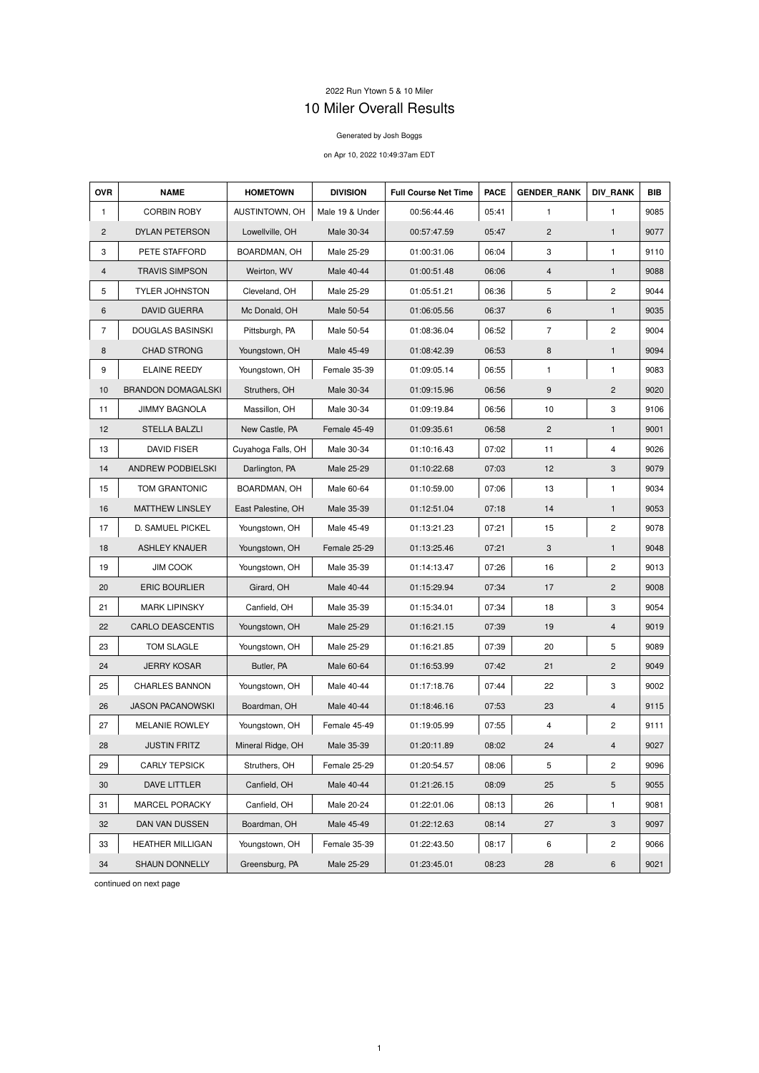## 2022 Run Ytown 5 & 10 Miler 10 Miler Overall Results

## Generated by Josh Boggs

## on Apr 10, 2022 10:49:37am EDT

| <b>OVR</b>     | <b>NAME</b>               | <b>HOMETOWN</b>    | <b>DIVISION</b> | <b>Full Course Net Time</b> | <b>PACE</b> | <b>GENDER RANK</b>      | <b>DIV RANK</b> | <b>BIB</b> |
|----------------|---------------------------|--------------------|-----------------|-----------------------------|-------------|-------------------------|-----------------|------------|
| $\mathbf{1}$   | <b>CORBIN ROBY</b>        | AUSTINTOWN, OH     | Male 19 & Under | 00:56:44.46                 | 05:41       | $\mathbf{1}$            | $\mathbf{1}$    | 9085       |
| $\overline{2}$ | DYLAN PETERSON            | Lowellville, OH    | Male 30-34      | 00:57:47.59                 | 05:47       | $\overline{2}$          | $\mathbf{1}$    | 9077       |
| 3              | PETE STAFFORD             | BOARDMAN, OH       | Male 25-29      | 01:00:31.06                 | 06:04       | 3                       | $\mathbf{1}$    | 9110       |
| $\overline{4}$ | <b>TRAVIS SIMPSON</b>     | Weirton, WV        | Male 40-44      | 01:00:51.48                 | 06:06       | $\overline{\mathbf{4}}$ | $\mathbf{1}$    | 9088       |
| 5              | <b>TYLER JOHNSTON</b>     | Cleveland, OH      | Male 25-29      | 01:05:51.21                 | 06:36       | 5                       | $\overline{c}$  | 9044       |
| 6              | <b>DAVID GUERRA</b>       | Mc Donald, OH      | Male 50-54      | 01:06:05.56                 | 06:37       | $\,6\,$                 | $\mathbf{1}$    | 9035       |
| $\overline{7}$ | <b>DOUGLAS BASINSKI</b>   | Pittsburgh, PA     | Male 50-54      | 01:08:36.04                 | 06:52       | $\overline{7}$          | $\overline{c}$  | 9004       |
| 8              | <b>CHAD STRONG</b>        | Youngstown, OH     | Male 45-49      | 01:08:42.39                 | 06:53       | $\bf 8$                 | $\mathbf{1}$    | 9094       |
| 9              | <b>ELAINE REEDY</b>       | Youngstown, OH     | Female 35-39    | 01:09:05.14                 | 06:55       | $\mathbf{1}$            | $\mathbf{1}$    | 9083       |
| 10             | <b>BRANDON DOMAGALSKI</b> | Struthers, OH      | Male 30-34      | 01:09:15.96                 | 06:56       | 9                       | $\mathbf{2}$    | 9020       |
| 11             | <b>JIMMY BAGNOLA</b>      | Massillon, OH      | Male 30-34      | 01:09:19.84                 | 06:56       | 10                      | 3               | 9106       |
| 12             | <b>STELLA BALZLI</b>      | New Castle, PA     | Female 45-49    | 01:09:35.61                 | 06:58       | $\overline{2}$          | $\mathbf{1}$    | 9001       |
| 13             | <b>DAVID FISER</b>        | Cuyahoga Falls, OH | Male 30-34      | 01:10:16.43                 | 07:02       | 11                      | 4               | 9026       |
| 14             | ANDREW PODBIELSKI         | Darlington, PA     | Male 25-29      | 01:10:22.68                 | 07:03       | 12                      | 3               | 9079       |
| 15             | TOM GRANTONIC             | BOARDMAN, OH       | Male 60-64      | 01:10:59.00                 | 07:06       | 13                      | $\mathbf{1}$    | 9034       |
| 16             | <b>MATTHEW LINSLEY</b>    | East Palestine, OH | Male 35-39      | 01:12:51.04                 | 07:18       | 14                      | $\mathbf{1}$    | 9053       |
| 17             | D. SAMUEL PICKEL          | Youngstown, OH     | Male 45-49      | 01:13:21.23                 | 07:21       | 15                      | $\overline{c}$  | 9078       |
| 18             | <b>ASHLEY KNAUER</b>      | Youngstown, OH     | Female 25-29    | 01:13:25.46                 | 07:21       | 3                       | $\mathbf{1}$    | 9048       |
| 19             | <b>JIM COOK</b>           | Youngstown, OH     | Male 35-39      | 01:14:13.47                 | 07:26       | 16                      | $\overline{c}$  | 9013       |
| 20             | <b>ERIC BOURLIER</b>      | Girard, OH         | Male 40-44      | 01:15:29.94                 | 07:34       | 17                      | $\overline{2}$  | 9008       |
| 21             | <b>MARK LIPINSKY</b>      | Canfield, OH       | Male 35-39      | 01:15:34.01                 | 07:34       | 18                      | 3               | 9054       |
| 22             | <b>CARLO DEASCENTIS</b>   | Youngstown, OH     | Male 25-29      | 01:16:21.15                 | 07:39       | 19                      | 4               | 9019       |
| 23             | TOM SLAGLE                | Youngstown, OH     | Male 25-29      | 01:16:21.85                 | 07:39       | 20                      | 5               | 9089       |
| 24             | <b>JERRY KOSAR</b>        | Butler, PA         | Male 60-64      | 01:16:53.99                 | 07:42       | 21                      | $\overline{c}$  | 9049       |
| 25             | <b>CHARLES BANNON</b>     | Youngstown, OH     | Male 40-44      | 01:17:18.76                 | 07:44       | 22                      | 3               | 9002       |
| 26             | <b>JASON PACANOWSKI</b>   | Boardman, OH       | Male 40-44      | 01:18:46.16                 | 07:53       | 23                      | $\overline{4}$  | 9115       |
| 27             | <b>MELANIE ROWLEY</b>     | Youngstown, OH     | Female 45-49    | 01:19:05.99                 | 07:55       | $\overline{\mathbf{4}}$ | $\overline{c}$  | 9111       |
| 28             | <b>JUSTIN FRITZ</b>       | Mineral Ridge, OH  | Male 35-39      | 01:20:11.89                 | 08:02       | 24                      | $\overline{4}$  | 9027       |
| 29             | <b>CARLY TEPSICK</b>      | Struthers, OH      | Female 25-29    | 01:20:54.57                 | 08:06       | 5                       | $\overline{c}$  | 9096       |
| 30             | DAVE LITTLER              | Canfield, OH       | Male 40-44      | 01:21:26.15                 | 08:09       | 25                      | $\sqrt{5}$      | 9055       |
| 31             | MARCEL PORACKY            | Canfield, OH       | Male 20-24      | 01:22:01.06                 | 08:13       | 26                      | $\mathbf{1}$    | 9081       |
| 32             | DAN VAN DUSSEN            | Boardman, OH       | Male 45-49      | 01:22:12.63                 | 08:14       | 27                      | 3               | 9097       |
| 33             | <b>HEATHER MILLIGAN</b>   | Youngstown, OH     | Female 35-39    | 01:22:43.50                 | 08:17       | 6                       | $\overline{c}$  | 9066       |
| 34             | SHAUN DONNELLY            | Greensburg, PA     | Male 25-29      | 01:23:45.01                 | 08:23       | 28                      | 6               | 9021       |

continued on next page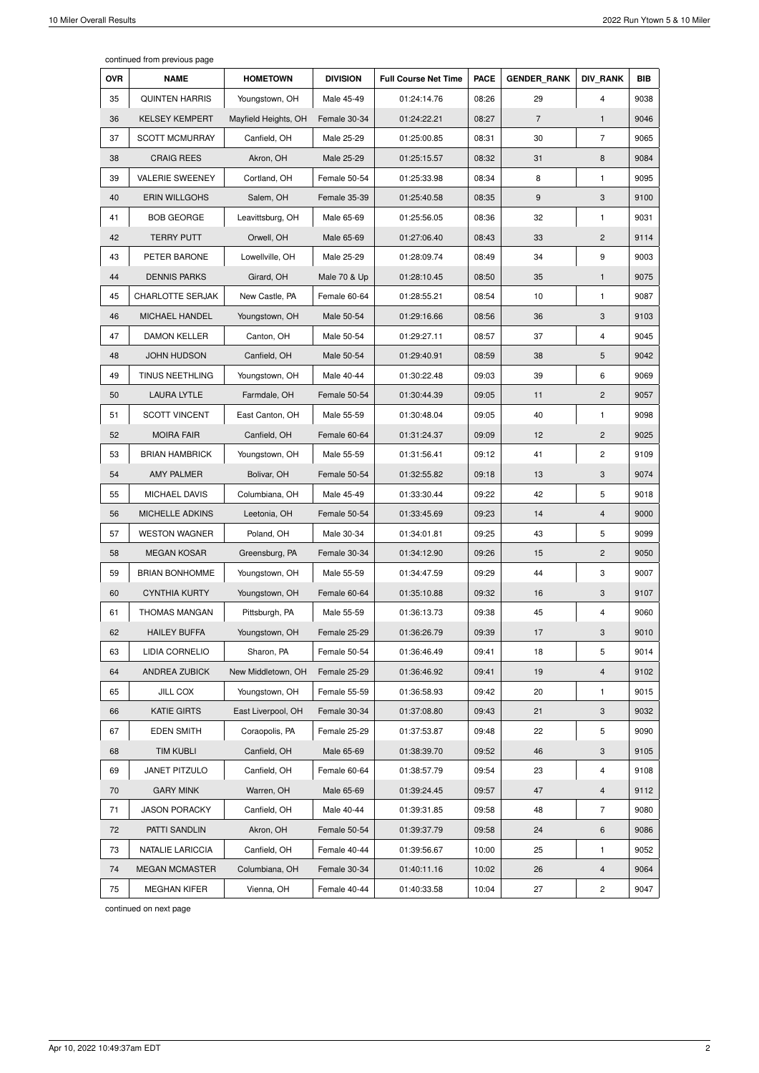continued from previous page

| <b>OVR</b> | <b>NAME</b>             | <b>HOMETOWN</b>      | <b>DIVISION</b> | <b>Full Course Net Time</b> | <b>PACE</b> | <b>GENDER RANK</b> | <b>DIV RANK</b>         | <b>BIB</b> |
|------------|-------------------------|----------------------|-----------------|-----------------------------|-------------|--------------------|-------------------------|------------|
| 35         | <b>QUINTEN HARRIS</b>   | Youngstown, OH       | Male 45-49      | 01:24:14.76                 | 08:26       | 29                 | $\overline{4}$          | 9038       |
| 36         | <b>KELSEY KEMPERT</b>   | Mayfield Heights, OH | Female 30-34    | 01:24:22.21                 | 08:27       | $\overline{7}$     | $\mathbf{1}$            | 9046       |
| 37         | <b>SCOTT MCMURRAY</b>   | Canfield, OH         | Male 25-29      | 01:25:00.85                 | 08:31       | 30                 | $\overline{7}$          | 9065       |
| 38         | <b>CRAIG REES</b>       | Akron, OH            | Male 25-29      | 01:25:15.57                 | 08:32       | 31                 | 8                       | 9084       |
| 39         | <b>VALERIE SWEENEY</b>  | Cortland, OH         | Female 50-54    | 01:25:33.98                 | 08:34       | 8                  | $\mathbf{1}$            | 9095       |
| 40         | <b>ERIN WILLGOHS</b>    | Salem, OH            | Female 35-39    | 01:25:40.58                 | 08:35       | 9                  | 3                       | 9100       |
| 41         | <b>BOB GEORGE</b>       | Leavittsburg, OH     | Male 65-69      | 01:25:56.05                 | 08:36       | 32                 | 1                       | 9031       |
| 42         | <b>TERRY PUTT</b>       | Orwell, OH           | Male 65-69      | 01:27:06.40                 | 08:43       | 33                 | $\overline{c}$          | 9114       |
| 43         | PETER BARONE            | Lowellville, OH      | Male 25-29      | 01:28:09.74                 | 08:49       | 34                 | 9                       | 9003       |
| 44         | <b>DENNIS PARKS</b>     | Girard, OH           | Male 70 & Up    | 01:28:10.45                 | 08:50       | 35                 | $\mathbf{1}$            | 9075       |
| 45         | <b>CHARLOTTE SERJAK</b> | New Castle, PA       | Female 60-64    | 01:28:55.21                 | 08:54       | 10                 | 1                       | 9087       |
| 46         | MICHAEL HANDEL          | Youngstown, OH       | Male 50-54      | 01:29:16.66                 | 08:56       | 36                 | 3                       | 9103       |
| 47         | <b>DAMON KELLER</b>     | Canton, OH           | Male 50-54      | 01:29:27.11                 | 08:57       | 37                 | 4                       | 9045       |
| 48         | <b>JOHN HUDSON</b>      | Canfield, OH         | Male 50-54      | 01:29:40.91                 | 08:59       | 38                 | 5                       | 9042       |
| 49         | <b>TINUS NEETHLING</b>  | Youngstown, OH       | Male 40-44      | 01:30:22.48                 | 09:03       | 39                 | 6                       | 9069       |
| 50         | <b>LAURA LYTLE</b>      | Farmdale, OH         | Female 50-54    | 01:30:44.39                 | 09:05       | 11                 | $\overline{c}$          | 9057       |
| 51         | <b>SCOTT VINCENT</b>    | East Canton, OH      | Male 55-59      | 01:30:48.04                 | 09:05       | 40                 | $\mathbf{1}$            | 9098       |
| 52         | <b>MOIRA FAIR</b>       | Canfield, OH         | Female 60-64    | 01:31:24.37                 | 09:09       | 12                 | $\overline{2}$          | 9025       |
| 53         | <b>BRIAN HAMBRICK</b>   | Youngstown, OH       | Male 55-59      | 01:31:56.41                 | 09:12       | 41                 | $\overline{c}$          | 9109       |
| 54         | <b>AMY PALMER</b>       | Bolivar, OH          | Female 50-54    | 01:32:55.82                 | 09:18       | 13                 | 3                       | 9074       |
| 55         | MICHAEL DAVIS           | Columbiana, OH       | Male 45-49      | 01:33:30.44                 | 09:22       | 42                 | 5                       | 9018       |
| 56         | MICHELLE ADKINS         | Leetonia, OH         | Female 50-54    | 01:33:45.69                 | 09:23       | 14                 | $\overline{\mathbf{4}}$ | 9000       |
| 57         | <b>WESTON WAGNER</b>    | Poland, OH           | Male 30-34      | 01:34:01.81                 | 09:25       | 43                 | 5                       | 9099       |
| 58         | <b>MEGAN KOSAR</b>      | Greensburg, PA       | Female 30-34    | 01:34:12.90                 | 09:26       | 15                 | $\overline{c}$          | 9050       |
| 59         | <b>BRIAN BONHOMME</b>   | Youngstown, OH       | Male 55-59      | 01:34:47.59                 | 09:29       | 44                 | 3                       | 9007       |
| 60         | <b>CYNTHIA KURTY</b>    | Youngstown, OH       | Female 60-64    | 01:35:10.88                 | 09:32       | 16                 | 3                       | 9107       |
| 61         | <b>THOMAS MANGAN</b>    | Pittsburgh, PA       | Male 55-59      | 01:36:13.73                 | 09:38       | 45                 | $\overline{4}$          | 9060       |
| 62         | <b>HAILEY BUFFA</b>     | Youngstown, OH       | Female 25-29    | 01:36:26.79                 | 09:39       | 17                 | 3                       | 9010       |
| 63         | LIDIA CORNELIO          | Sharon, PA           | Female 50-54    | 01:36:46.49                 | 09:41       | 18                 | 5                       | 9014       |
| 64         | ANDREA ZUBICK           | New Middletown, OH   | Female 25-29    | 01:36:46.92                 | 09:41       | 19                 | $\overline{\mathbf{4}}$ | 9102       |
| 65         | <b>JILL COX</b>         | Youngstown, OH       | Female 55-59    | 01:36:58.93                 | 09:42       | 20                 | 1                       | 9015       |
| 66         | <b>KATIE GIRTS</b>      | East Liverpool, OH   | Female 30-34    | 01:37:08.80                 | 09:43       | 21                 | 3                       | 9032       |
| 67         | <b>EDEN SMITH</b>       | Coraopolis, PA       | Female 25-29    | 01:37:53.87                 | 09:48       | 22                 | 5                       | 9090       |
| 68         | <b>TIM KUBLI</b>        | Canfield, OH         | Male 65-69      | 01:38:39.70                 | 09:52       | 46                 | 3                       | 9105       |
| 69         | JANET PITZULO           | Canfield, OH         | Female 60-64    | 01:38:57.79                 | 09:54       | 23                 | 4                       | 9108       |
| 70         | <b>GARY MINK</b>        | Warren, OH           | Male 65-69      | 01:39:24.45                 | 09:57       | 47                 | $\overline{\mathbf{4}}$ | 9112       |
| 71         | <b>JASON PORACKY</b>    | Canfield, OH         | Male 40-44      | 01:39:31.85                 | 09:58       | 48                 | $\overline{7}$          | 9080       |
| 72         | PATTI SANDLIN           | Akron, OH            | Female 50-54    | 01:39:37.79                 | 09:58       | 24                 | 6                       | 9086       |
| 73         | <b>NATALIE LARICCIA</b> | Canfield, OH         | Female 40-44    | 01:39:56.67                 | 10:00       | 25                 | 1                       | 9052       |
| 74         | <b>MEGAN MCMASTER</b>   | Columbiana, OH       | Female 30-34    | 01:40:11.16                 | 10:02       | 26                 | 4                       | 9064       |
| 75         | <b>MEGHAN KIFER</b>     | Vienna, OH           | Female 40-44    | 01:40:33.58                 | 10:04       | 27                 | 2                       | 9047       |

continued on next page